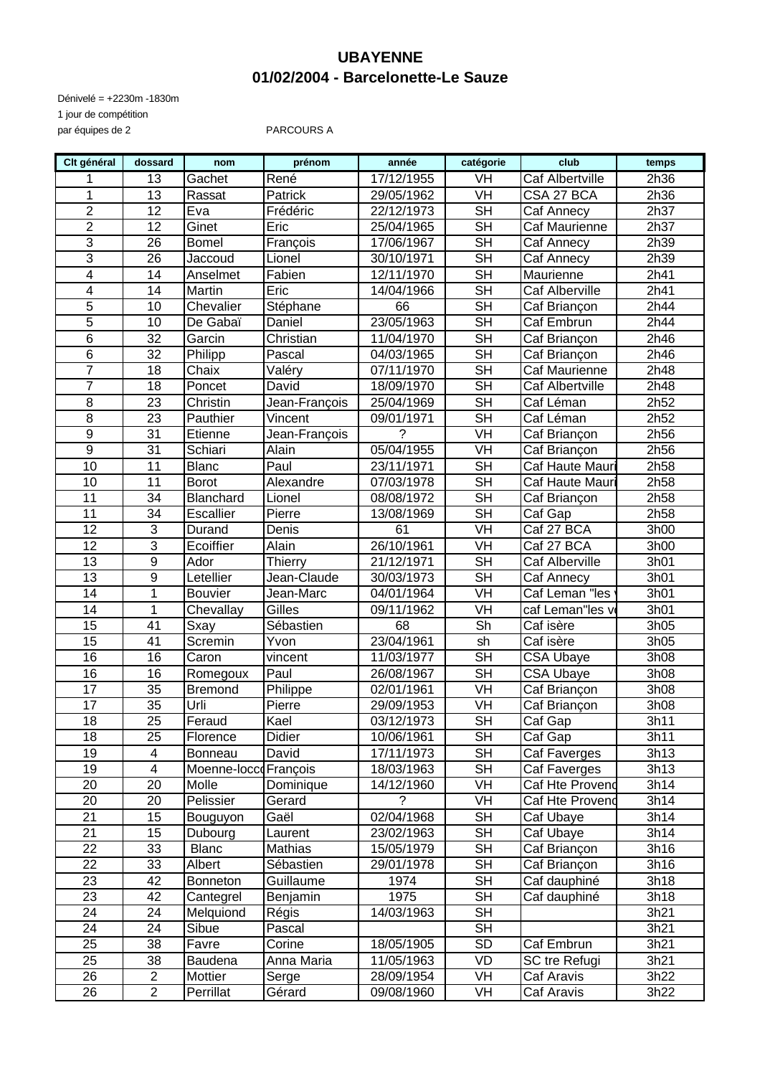### **UBAYENNE 01/02/2004 - Barcelonette-Le Sauze**

Dénivelé = +2230m -1830m 1 jour de compétition par équipes de 2 PARCOURS A

| Clt général     | dossard         | nom                  | prénom        | année      | catégorie                | club                   | temps |
|-----------------|-----------------|----------------------|---------------|------------|--------------------------|------------------------|-------|
|                 | 13              | Gachet               | René          | 17/12/1955 | VH                       | <b>Caf Albertville</b> | 2h36  |
| 1               | $\overline{13}$ | Rassat               | Patrick       | 29/05/1962 | VH                       | CSA 27 BCA             | 2h36  |
| $\overline{2}$  | 12              | Eva                  | Frédéric      | 22/12/1973 | <b>SH</b>                | Caf Annecy             | 2h37  |
| $\overline{2}$  | 12              | Ginet                | Eric          | 25/04/1965 | <b>SH</b>                | Caf Maurienne          | 2h37  |
| $\overline{3}$  | 26              | <b>Bomel</b>         | François      | 17/06/1967 | $\overline{\mathsf{SH}}$ | Caf Annecy             | 2h39  |
| $\overline{3}$  | 26              | Jaccoud              | Lionel        | 30/10/1971 | <b>SH</b>                | Caf Annecy             | 2h39  |
| $\overline{4}$  | 14              | Anselmet             | Fabien        | 12/11/1970 | <b>SH</b>                | Maurienne              | 2h41  |
| 4               | 14              | Martin               | Eric          | 14/04/1966 | $\overline{\mathsf{SH}}$ | <b>Caf Alberville</b>  | 2h41  |
| $\overline{5}$  | 10              | Chevalier            | Stéphane      | 66         | $\overline{\mathsf{SH}}$ | Caf Briançon           | 2h44  |
| $\overline{5}$  | 10              | De Gabaï             | Daniel        | 23/05/1963 | $\overline{\mathsf{SH}}$ | Caf Embrun             | 2h44  |
| $\overline{6}$  | $\overline{32}$ | Garcin               | Christian     | 11/04/1970 | $\overline{\text{SH}}$   | Caf Briançon           | 2h46  |
| $\overline{6}$  | 32              | Philipp              | Pascal        | 04/03/1965 | $\overline{\mathsf{SH}}$ | Caf Briançon           | 2h46  |
| $\overline{7}$  | 18              | Chaix                | Valéry        | 07/11/1970 | <b>SH</b>                | Caf Maurienne          | 2h48  |
| $\overline{7}$  | 18              | Poncet               | David         | 18/09/1970 | $\overline{\mathsf{SH}}$ | Caf Albertville        | 2h48  |
| 8               | 23              | Christin             | Jean-François | 25/04/1969 | $\overline{\mathsf{SH}}$ | Caf Léman              | 2h52  |
| $\overline{8}$  | 23              | Pauthier             | Vincent       | 09/01/1971 | $\overline{\mathsf{SH}}$ | Caf Léman              | 2h52  |
| $\overline{9}$  | 31              | Etienne              | Jean-François | ?          | VH                       | Caf Briançon           | 2h56  |
| 9               | 31              | Schiari              | Alain         | 05/04/1955 | VH                       | Caf Briançon           | 2h56  |
| 10              | 11              | <b>Blanc</b>         | Paul          | 23/11/1971 | <b>SH</b>                | Caf Haute Mauri        | 2h58  |
| 10              | 11              | <b>Borot</b>         | Alexandre     | 07/03/1978 | <b>SH</b>                | Caf Haute Mauri        | 2h58  |
| 11              | 34              | Blanchard            | Lionel        | 08/08/1972 | $\overline{\mathsf{SH}}$ | Caf Briançon           | 2h58  |
| 11              | 34              | Escallier            | Pierre        | 13/08/1969 | $\overline{\mathsf{SH}}$ | Caf Gap                | 2h58  |
| 12              | 3               | Durand               | Denis         | 61         | VH                       | Caf 27 BCA             | 3h00  |
| 12              | $\overline{3}$  | Ecoiffier            | <b>Alain</b>  | 26/10/1961 | VH                       | Caf 27 BCA             | 3h00  |
| 13              | $\overline{9}$  | Ador                 | Thierry       | 21/12/1971 | $\overline{\mathsf{SH}}$ | <b>Caf Alberville</b>  | 3h01  |
| 13              | $\overline{9}$  | Letellier            | Jean-Claude   | 30/03/1973 | $\overline{\mathsf{SH}}$ | Caf Annecy             | 3h01  |
| 14              | $\mathbf{1}$    | <b>Bouvier</b>       | Jean-Marc     | 04/01/1964 | VH                       | Caf Leman "les         | 3h01  |
| 14              | $\mathbf{1}$    | Chevallay            | Gilles        | 09/11/1962 | VH                       | caf Leman"les vo       | 3h01  |
| 15              | 41              | Sxay                 | Sébastien     | 68         | Sh                       | Caf isère              | 3h05  |
| $\overline{15}$ | 41              | Scremin              | Yvon          | 23/04/1961 | sh                       | Caf isère              | 3h05  |
| 16              | 16              | Caron                | vincent       | 11/03/1977 | <b>SH</b>                | <b>CSA Ubaye</b>       | 3h08  |
| 16              | 16              | Romegoux             | Paul          | 26/08/1967 | <b>SH</b>                | CSA Ubaye              | 3h08  |
| 17              | 35              | <b>Bremond</b>       | Philippe      | 02/01/1961 | VH                       | Caf Briançon           | 3h08  |
| 17              | 35              | Urli                 | Pierre        | 29/09/1953 | VH                       | Caf Briançon           | 3h08  |
| 18              | 25              | Feraud               | Kael          | 03/12/1973 | $\overline{\mathsf{SH}}$ | Caf Gap                | 3h11  |
| 18              | 25              | Florence             | <b>Didier</b> | 10/06/1961 | $\overline{\mathsf{SH}}$ | Caf Gap                | 3h11  |
| 19              | $\overline{4}$  | Bonneau              | David         | 17/11/1973 | $\overline{\mathsf{SH}}$ | Caf Faverges           | 3h13  |
| 19              | $\overline{4}$  | Moenne-loccoFrançois |               | 18/03/1963 | <b>SH</b>                | Caf Faverges           | 3h13  |
| 20              | 20              | Molle                | Dominique     | 14/12/1960 | VH                       | Caf Hte Provend        | 3h14  |
| 20              | 20              | Pelissier            | Gerard        | ?          | VH                       | Caf Hte Provend        | 3h14  |
| 21              | 15              | Bouguyon             | Gaël          | 02/04/1968 | <b>SH</b>                | Caf Ubaye              | 3h14  |
| $\overline{21}$ | 15              | Dubourg              | Laurent       | 23/02/1963 | <b>SH</b>                | Caf Ubaye              | 3h14  |
| 22              | 33              | <b>Blanc</b>         | Mathias       | 15/05/1979 | <b>SH</b>                | Caf Briançon           | 3h16  |
| 22              | 33              | Albert               | Sébastien     | 29/01/1978 | <b>SH</b>                | Caf Briançon           | 3h16  |
| 23              | 42              | Bonneton             | Guillaume     | 1974       | <b>SH</b>                | Caf dauphiné           | 3h18  |
| 23              | 42              | Cantegrel            | Benjamin      | 1975       | <b>SH</b>                | Caf dauphiné           | 3h18  |
| 24              | 24              | Melquiond            | Régis         | 14/03/1963 | <b>SH</b>                |                        | 3h21  |
| 24              | 24              | Sibue                | Pascal        |            | $\overline{\mathsf{SH}}$ |                        | 3h21  |
| 25              | 38              | Favre                | Corine        | 18/05/1905 | SD                       | Caf Embrun             | 3h21  |
| 25              | 38              | Baudena              | Anna Maria    | 11/05/1963 | VD                       | SC tre Refugi          | 3h21  |
| 26              | $\overline{2}$  | Mottier              | Serge         | 28/09/1954 | VH                       | Caf Aravis             | 3h22  |
| $\overline{26}$ | $\overline{2}$  | Perrillat            | Gérard        | 09/08/1960 | VH                       | Caf Aravis             | 3h22  |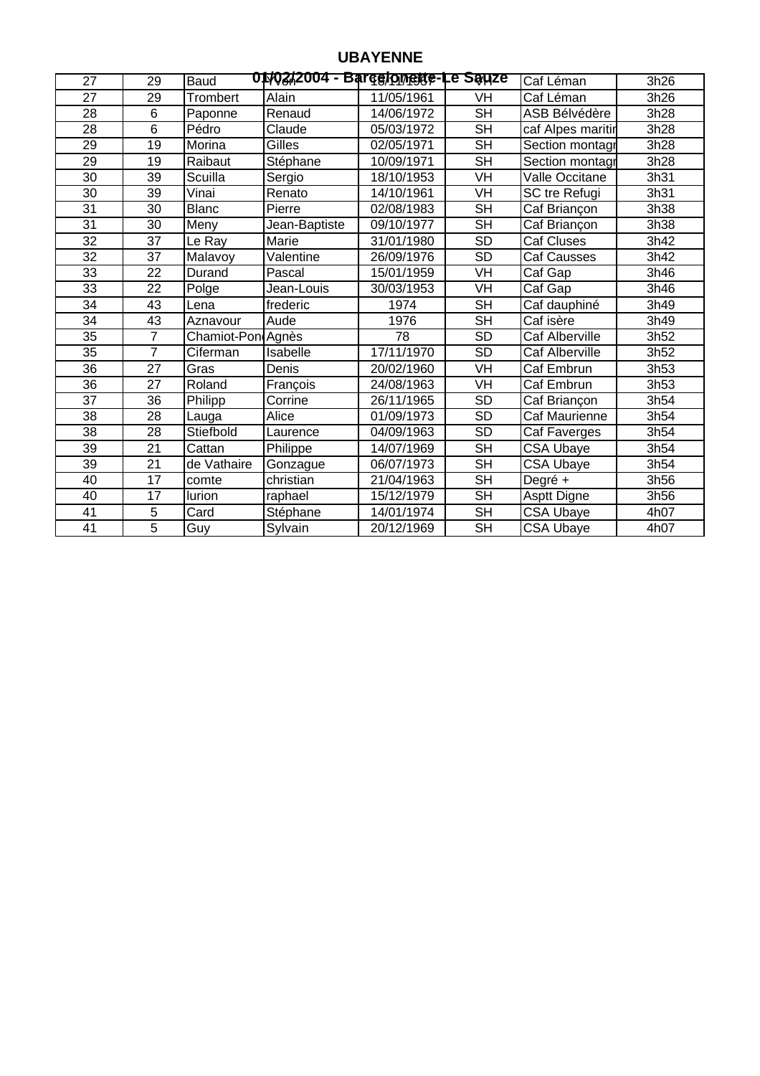## **UBAYENNE**

| 27 | 29              | <b>Baud</b>       | 01/02/2004 - Barcelomeste-Le Sauze |            |                           | Caf Léman             | 3h26 |
|----|-----------------|-------------------|------------------------------------|------------|---------------------------|-----------------------|------|
| 27 | 29              | Trombert          | Alain                              | 11/05/1961 | VH                        | Caf Léman             | 3h26 |
| 28 | $\overline{6}$  | Paponne           | Renaud                             | 14/06/1972 | $\overline{\mathsf{SH}}$  | ASB Bélvédère         | 3h28 |
| 28 | 6               | Pédro             | Claude                             | 05/03/1972 | <b>SH</b>                 | caf Alpes maritin     | 3h28 |
| 29 | 19              | Morina            | Gilles                             | 02/05/1971 | <b>SH</b>                 | Section montagr       | 3h28 |
| 29 | 19              | Raibaut           | Stéphane                           | 10/09/1971 | <b>SH</b>                 | Section montagr       | 3h28 |
| 30 | 39              | Scuilla           | Sergio                             | 18/10/1953 | VH                        | Valle Occitane        | 3h31 |
| 30 | 39              | Vinai             | Renato                             | 14/10/1961 | VH                        | SC tre Refugi         | 3h31 |
| 31 | 30              | <b>Blanc</b>      | Pierre                             | 02/08/1983 | <b>SH</b>                 | Caf Briançon          | 3h38 |
| 31 | 30              | Meny              | Jean-Baptiste                      | 09/10/1977 | $\overline{\mathsf{SH}}$  | Caf Briançon          | 3h38 |
| 32 | 37              | Le Ray            | Marie                              | 31/01/1980 | <b>SD</b>                 | <b>Caf Cluses</b>     | 3h42 |
| 32 | 37              | Malavoy           | Valentine                          | 26/09/1976 | <b>SD</b>                 | <b>Caf Causses</b>    | 3h42 |
| 33 | 22              | Durand            | Pascal                             | 15/01/1959 | VH                        | Caf Gap               | 3h46 |
| 33 | 22              | Polge             | Jean-Louis                         | 30/03/1953 | <b>VH</b>                 | Caf Gap               | 3h46 |
| 34 | 43              | Lena              | frederic                           | 1974       | <b>SH</b>                 | Caf dauphiné          | 3h49 |
| 34 | 43              | Aznavour          | Aude                               | 1976       | <b>SH</b>                 | Caf isère             | 3h49 |
| 35 | $\overline{7}$  | Chamiot-PondAgnès |                                    | 78         | $\overline{SD}$           | Caf Alberville        | 3h52 |
| 35 | 7               | Ciferman          | Isabelle                           | 17/11/1970 | SD                        | <b>Caf Alberville</b> | 3h52 |
| 36 | $\overline{27}$ | Gras              | Denis                              | 20/02/1960 | $\overline{\mathsf{V}}$ H | Caf Embrun            | 3h53 |
| 36 | 27              | Roland            | François                           | 24/08/1963 | VH                        | Caf Embrun            | 3h53 |
| 37 | 36              | Philipp           | Corrine                            | 26/11/1965 | <b>SD</b>                 | Caf Briançon          | 3h54 |
| 38 | 28              | Lauga             | Alice                              | 01/09/1973 | <b>SD</b>                 | Caf Maurienne         | 3h54 |
| 38 | 28              | Stiefbold         | Laurence                           | 04/09/1963 | <b>SD</b>                 | Caf Faverges          | 3h54 |
| 39 | $\overline{21}$ | Cattan            | Philippe                           | 14/07/1969 | $\overline{\mathsf{SH}}$  | CSA Ubaye             | 3h54 |
| 39 | 21              | de Vathaire       | Gonzague                           | 06/07/1973 | <b>SH</b>                 | CSA Ubaye             | 3h54 |
| 40 | $\overline{17}$ | comte             | christian                          | 21/04/1963 | $\overline{\mathsf{SH}}$  | Degré +               | 3h56 |
| 40 | 17              | lurion            | raphael                            | 15/12/1979 | <b>SH</b>                 | Asptt Digne           | 3h56 |
| 41 | 5               | Card              | Stéphane                           | 14/01/1974 | $\overline{\mathsf{SH}}$  | CSA Ubaye             | 4h07 |
| 41 | 5               | Guy               | Sylvain                            | 20/12/1969 | <b>SH</b>                 | <b>CSA Ubaye</b>      | 4h07 |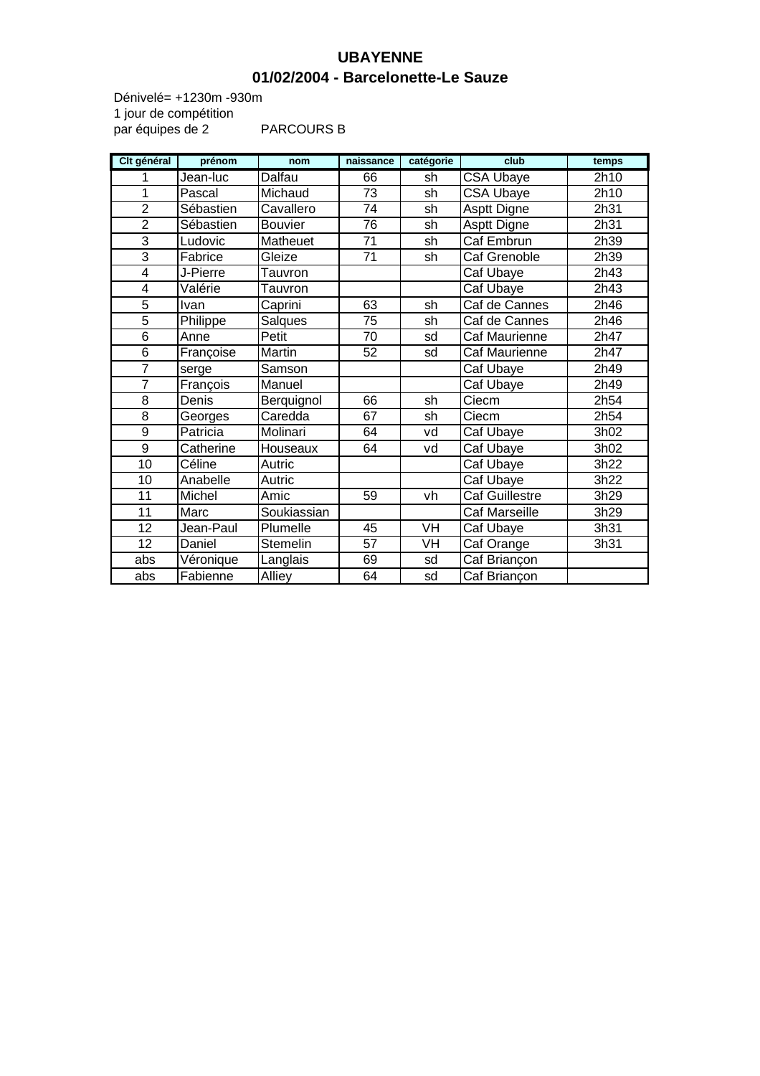### **UBAYENNE 01/02/2004 - Barcelonette-Le Sauze**

1 jour de compétition par équipes de 2 PARCOURS B Dénivelé= +1230m -930m

| Clt général              | prénom    | nom            | naissance       | catégorie | club                  | temps |
|--------------------------|-----------|----------------|-----------------|-----------|-----------------------|-------|
| 1                        | Jean-luc  | <b>Dalfau</b>  | 66              | sh        | <b>CSA Ubaye</b>      | 2h10  |
| 1                        | Pascal    | Michaud        | 73              | sh        | <b>CSA Ubaye</b>      | 2h10  |
| $\overline{2}$           | Sébastien | Cavallero      | 74              | sh        | Asptt Digne           | 2h31  |
| $\overline{2}$           | Sébastien | <b>Bouvier</b> | $\overline{76}$ | sh        | Asptt Digne           | 2h31  |
| $\overline{3}$           | Ludovic   | Matheuet       | 71              | sh        | Caf Embrun            | 2h39  |
| 3                        | Fabrice   | Gleize         | $\overline{71}$ | sh        | Caf Grenoble          | 2h39  |
| $\overline{\mathcal{A}}$ | J-Pierre  | Tauvron        |                 |           | Caf Ubaye             | 2h43  |
| 4                        | Valérie   | Tauvron        |                 |           | Caf Ubaye             | 2h43  |
| 5                        | Ivan      | Caprini        | 63              | sh        | Caf de Cannes         | 2h46  |
| 5                        | Philippe  | Salques        | 75              | sh        | Caf de Cannes         | 2h46  |
| 6                        | Anne      | Petit          | 70              | sd        | Caf Maurienne         | 2h47  |
| $\overline{6}$           | Françoise | Martin         | 52              | sd        | Caf Maurienne         | 2h47  |
| $\overline{7}$           | serge     | Samson         |                 |           | Caf Ubaye             | 2h49  |
| $\overline{7}$           | François  | Manuel         |                 |           | Caf Ubaye             | 2h49  |
| 8                        | Denis     | Berquignol     | 66              | sh        | Ciecm                 | 2h54  |
| 8                        | Georges   | Caredda        | 67              | sh        | Ciecm                 | 2h54  |
| 9                        | Patricia  | Molinari       | 64              | vd        | Caf Ubaye             | 3h02  |
| $\overline{9}$           | Catherine | Houseaux       | 64              | vd        | Caf Ubaye             | 3h02  |
| 10                       | Céline    | Autric         |                 |           | Caf Ubaye             | 3h22  |
| 10                       | Anabelle  | Autric         |                 |           | Caf Ubaye             | 3h22  |
| 11                       | Michel    | Amic           | 59              | vh        | <b>Caf Guillestre</b> | 3h29  |
| 11                       | Marc      | Soukiassian    |                 |           | Caf Marseille         | 3h29  |
| 12                       | Jean-Paul | Plumelle       | 45              | VH        | Caf Ubaye             | 3h31  |
| 12                       | Daniel    | Stemelin       | 57              | VH        | Caf Orange            | 3h31  |
| abs                      | Véronique | Langlais       | 69              | sd        | Caf Briançon          |       |
| abs                      | Fabienne  | <b>Alliey</b>  | 64              | sd        | Caf Briançon          |       |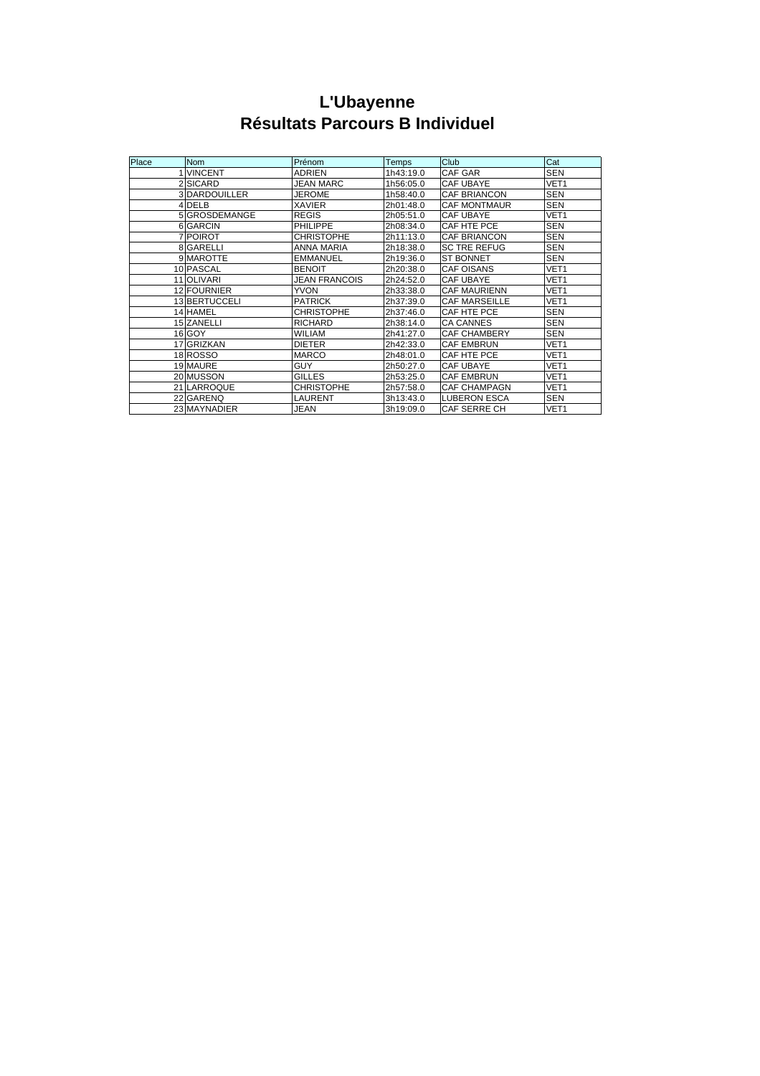# **L'Ubayenne Résultats Parcours B Individuel**

| Place | <b>Nom</b>         | Prénom               | Temps     | Club                 | Cat              |
|-------|--------------------|----------------------|-----------|----------------------|------------------|
|       | <b>IVINCENT</b>    | ADRIEN               | 1h43:19.0 | CAF GAR              | <b>SEN</b>       |
|       | 2 SICARD           | <b>JEAN MARC</b>     | 1h56:05.0 | <b>CAF UBAYE</b>     | VET <sub>1</sub> |
|       | 3 DARDOUILLER      | <b>JEROME</b>        | 1h58:40.0 | <b>CAF BRIANCON</b>  | <b>SEN</b>       |
|       | 4 DELB             | <b>XAVIER</b>        | 2h01:48.0 | <b>CAF MONTMAUR</b>  | <b>SEN</b>       |
|       | 5 GROSDEMANGE      | <b>REGIS</b>         | 2h05:51.0 | <b>CAF UBAYE</b>     | VET <sub>1</sub> |
|       | 6 GARCIN           | <b>PHILIPPE</b>      | 2h08:34.0 | CAF HTE PCE          | <b>SEN</b>       |
|       | 7 POIROT           | <b>CHRISTOPHE</b>    | 2h11:13.0 | <b>CAF BRIANCON</b>  | <b>SEN</b>       |
|       | 8 GARELLI          | ANNA MARIA           | 2h18:38.0 | <b>SC TRE REFUG</b>  | <b>SEN</b>       |
|       | 9 MAROTTE          | <b>EMMANUEL</b>      | 2h19:36.0 | <b>ST BONNET</b>     | <b>SEN</b>       |
|       | 10 PASCAL          | <b>BENOIT</b>        | 2h20:38.0 | <b>CAF OISANS</b>    | VET <sub>1</sub> |
|       | 11 OLIVARI         | <b>JEAN FRANCOIS</b> | 2h24:52.0 | <b>CAF UBAYE</b>     | VET <sub>1</sub> |
|       | <b>12 FOURNIER</b> | <b>YVON</b>          | 2h33:38.0 | <b>CAF MAURIENN</b>  | VET <sub>1</sub> |
|       | 13 BERTUCCELI      | <b>PATRICK</b>       | 2h37:39.0 | <b>CAF MARSEILLE</b> | VET <sub>1</sub> |
|       | 14 HAMEL           | <b>CHRISTOPHE</b>    | 2h37:46.0 | CAF HTE PCE          | <b>SEN</b>       |
|       | 15 ZANELLI         | <b>RICHARD</b>       | 2h38:14.0 | <b>CA CANNES</b>     | <b>SEN</b>       |
|       | 16 GOY             | <b>WILIAM</b>        | 2h41:27.0 | <b>CAF CHAMBERY</b>  | <b>SEN</b>       |
|       | 17 GRIZKAN         | <b>DIETER</b>        | 2h42:33.0 | <b>CAF EMBRUN</b>    | VET <sub>1</sub> |
|       | 18 ROSSO           | <b>MARCO</b>         | 2h48:01.0 | CAF HTE PCE          | VET <sub>1</sub> |
|       | 19 MAURE           | GUY                  | 2h50:27.0 | <b>CAF UBAYE</b>     | VET <sub>1</sub> |
|       | 20 MUSSON          | <b>GILLES</b>        | 2h53:25.0 | <b>CAF EMBRUN</b>    | VET <sub>1</sub> |
|       | 21 LARROQUE        | <b>CHRISTOPHE</b>    | 2h57:58.0 | <b>CAF CHAMPAGN</b>  | VET <sub>1</sub> |
|       | 22 GARENQ          | LAURENT              | 3h13:43.0 | <b>LUBERON ESCA</b>  | <b>SEN</b>       |
|       | 23 MAYNADIER       | JEAN                 | 3h19:09.0 | <b>CAF SERRE CH</b>  | VET <sub>1</sub> |